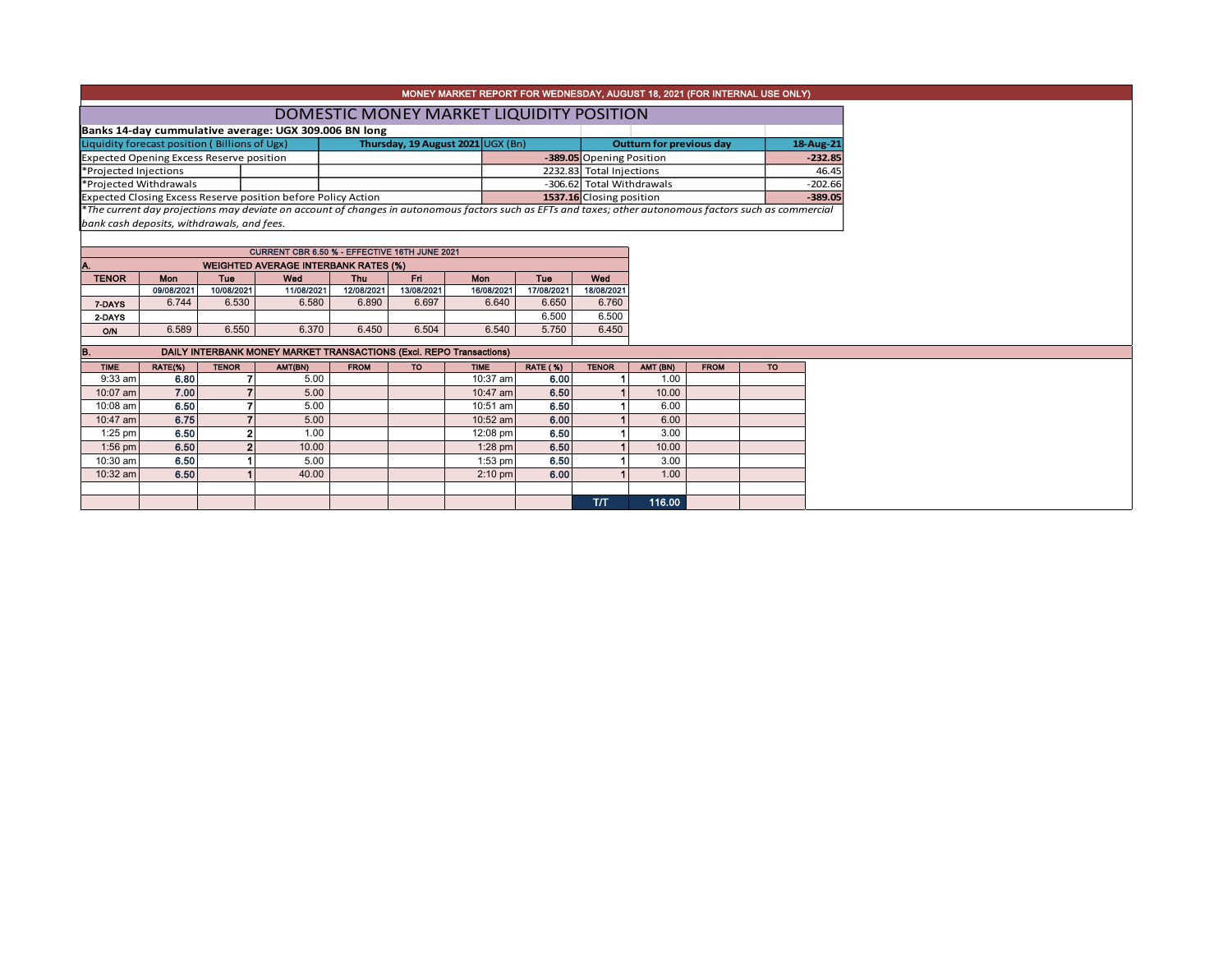|                                                 |                                                       |                |                                                                                                                                                          |             |            |                                          |                 |                                 |                           |             | MONEY MARKET REPORT FOR WEDNESDAY, AUGUST 18, 2021 (FOR INTERNAL USE ONLY) |           |  |  |
|-------------------------------------------------|-------------------------------------------------------|----------------|----------------------------------------------------------------------------------------------------------------------------------------------------------|-------------|------------|------------------------------------------|-----------------|---------------------------------|---------------------------|-------------|----------------------------------------------------------------------------|-----------|--|--|
|                                                 |                                                       |                |                                                                                                                                                          |             |            |                                          |                 |                                 |                           |             |                                                                            |           |  |  |
|                                                 |                                                       |                |                                                                                                                                                          |             |            | DOMESTIC MONEY MARKET LIQUIDITY POSITION |                 |                                 |                           |             |                                                                            |           |  |  |
|                                                 | Banks 14-day cummulative average: UGX 309.006 BN long |                |                                                                                                                                                          |             |            |                                          |                 |                                 |                           |             |                                                                            |           |  |  |
| Liquidity forecast position (Billions of Ugx)   |                                                       |                |                                                                                                                                                          |             |            | Thursday, 19 August 2021 UGX (Bn)        |                 | <b>Outturn for previous day</b> |                           |             |                                                                            | 18-Aug-21 |  |  |
| <b>Expected Opening Excess Reserve position</b> |                                                       |                |                                                                                                                                                          |             |            |                                          |                 | -389.05 Opening Position        |                           |             |                                                                            | $-232.85$ |  |  |
| *Projected Injections                           |                                                       |                |                                                                                                                                                          |             |            |                                          |                 | 2232.83 Total Injections        |                           |             |                                                                            | 46.45     |  |  |
| *Projected Withdrawals                          |                                                       |                |                                                                                                                                                          |             |            |                                          |                 |                                 | -306.62 Total Withdrawals |             |                                                                            | $-202.66$ |  |  |
|                                                 |                                                       |                | Expected Closing Excess Reserve position before Policy Action                                                                                            |             |            |                                          |                 |                                 | 1537.16 Closing position  |             |                                                                            | $-389.05$ |  |  |
|                                                 |                                                       |                | *The current day projections may deviate on account of changes in autonomous factors such as EFTs and taxes; other autonomous factors such as commercial |             |            |                                          |                 |                                 |                           |             |                                                                            |           |  |  |
| bank cash deposits, withdrawals, and fees.      |                                                       |                |                                                                                                                                                          |             |            |                                          |                 |                                 |                           |             |                                                                            |           |  |  |
|                                                 |                                                       |                |                                                                                                                                                          |             |            |                                          |                 |                                 |                           |             |                                                                            |           |  |  |
|                                                 |                                                       |                | CURRENT CBR 6.50 % - EFFECTIVE 16TH JUNE 2021                                                                                                            |             |            |                                          |                 |                                 |                           |             |                                                                            |           |  |  |
|                                                 |                                                       |                | <b>WEIGHTED AVERAGE INTERBANK RATES (%)</b>                                                                                                              |             |            |                                          |                 |                                 |                           |             |                                                                            |           |  |  |
| <b>TENOR</b>                                    | <b>Mon</b>                                            | <b>Tue</b>     | Wed                                                                                                                                                      | <b>Thu</b>  | Fri.       | Mon                                      | Tue             | Wed                             |                           |             |                                                                            |           |  |  |
|                                                 | 09/08/2021                                            | 10/08/2021     | 11/08/2021                                                                                                                                               | 12/08/2021  | 13/08/2021 | 16/08/2021                               | 17/08/2021      | 18/08/2021                      |                           |             |                                                                            |           |  |  |
| 7-DAYS                                          | 6.744                                                 | 6.530          | 6.580                                                                                                                                                    | 6.890       | 6.697      | 6.640                                    | 6.650           | 6.760                           |                           |             |                                                                            |           |  |  |
| 2-DAYS                                          |                                                       |                |                                                                                                                                                          |             |            |                                          | 6.500           | 6.500                           |                           |             |                                                                            |           |  |  |
| <b>O/N</b>                                      | 6.589                                                 | 6.550          | 6.370                                                                                                                                                    | 6.450       | 6.504      | 6.540                                    | 5.750           | 6.450                           |                           |             |                                                                            |           |  |  |
|                                                 |                                                       |                |                                                                                                                                                          |             |            |                                          |                 |                                 |                           |             |                                                                            |           |  |  |
| B.                                              |                                                       |                | DAILY INTERBANK MONEY MARKET TRANSACTIONS (Excl. REPO Transactions)                                                                                      |             |            |                                          |                 |                                 |                           |             |                                                                            |           |  |  |
| <b>TIME</b>                                     | RATE(%)                                               | <b>TENOR</b>   | AMT(BN)                                                                                                                                                  | <b>FROM</b> | <b>TO</b>  | <b>TIME</b>                              | <b>RATE (%)</b> | <b>TENOR</b>                    | AMT (BN)                  | <b>FROM</b> | <b>TO</b>                                                                  |           |  |  |
| $9:33$ am                                       | 6.80                                                  |                | 5.00                                                                                                                                                     |             |            | 10:37 am                                 | 6.00            |                                 | 1.00                      |             |                                                                            |           |  |  |
| 10:07 am                                        | 7.00                                                  |                | 5.00                                                                                                                                                     |             |            | 10:47 am                                 | 6.50            |                                 | 10.00                     |             |                                                                            |           |  |  |
| 10:08 am                                        | 6.50                                                  | $\overline{ }$ | 5.00                                                                                                                                                     |             |            | 10:51 am                                 | 6.50            |                                 | 6.00                      |             |                                                                            |           |  |  |
| 10:47 am                                        | 6.75                                                  |                | 5.00                                                                                                                                                     |             |            | 10:52 am                                 | 6.00            |                                 | 6.00                      |             |                                                                            |           |  |  |
| $1:25$ pm                                       | 6.50                                                  | $\overline{2}$ | 1.00                                                                                                                                                     |             |            | 12:08 pm                                 | 6.50            |                                 | 3.00                      |             |                                                                            |           |  |  |
| 1:56 pm                                         | 6.50                                                  | $\overline{2}$ | 10.00                                                                                                                                                    |             |            | $1:28$ pm                                | 6.50            |                                 | 10.00                     |             |                                                                            |           |  |  |
| 10:30 am                                        | 6.50                                                  |                | 5.00                                                                                                                                                     |             |            | $1:53$ pm                                | 6.50            |                                 | 3.00                      |             |                                                                            |           |  |  |
| 10:32 am                                        | 6.50                                                  |                | 40.00                                                                                                                                                    |             |            | $2:10$ pm                                | 6.00            |                                 | 1.00                      |             |                                                                            |           |  |  |
|                                                 |                                                       |                |                                                                                                                                                          |             |            |                                          |                 |                                 |                           |             |                                                                            |           |  |  |
|                                                 |                                                       |                |                                                                                                                                                          |             |            |                                          |                 | <b>T/T</b>                      | 116.00                    |             |                                                                            |           |  |  |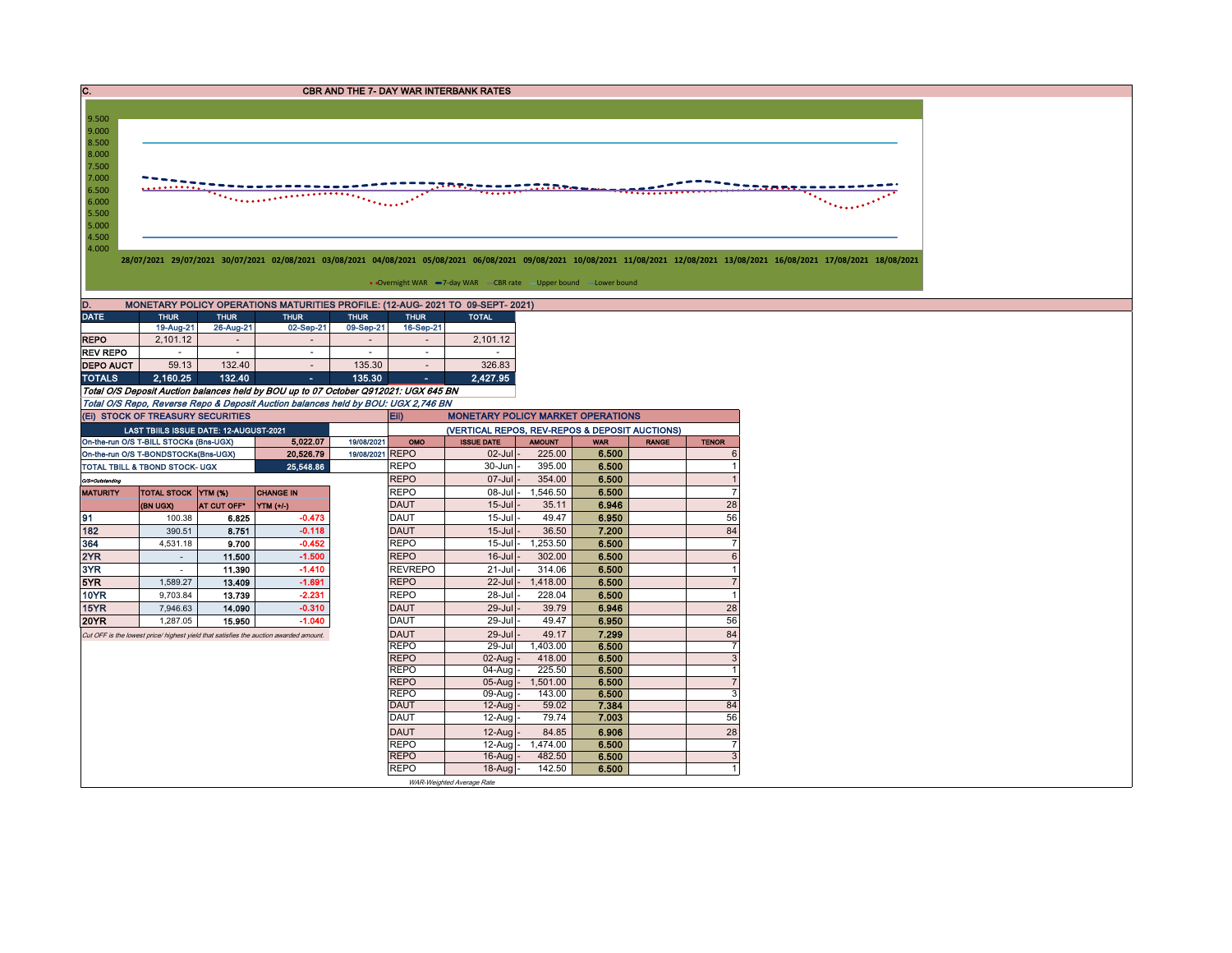| Ic.                                                |                                                                                                                                                                                                                    |                |                                                                                     |                 |                            | <b>CBR AND THE 7- DAY WAR INTERBANK RATES</b>                                  |                |                |              |                              |  |  |  |  |  |
|----------------------------------------------------|--------------------------------------------------------------------------------------------------------------------------------------------------------------------------------------------------------------------|----------------|-------------------------------------------------------------------------------------|-----------------|----------------------------|--------------------------------------------------------------------------------|----------------|----------------|--------------|------------------------------|--|--|--|--|--|
|                                                    |                                                                                                                                                                                                                    |                |                                                                                     |                 |                            |                                                                                |                |                |              |                              |  |  |  |  |  |
| 9.500                                              |                                                                                                                                                                                                                    |                |                                                                                     |                 |                            |                                                                                |                |                |              |                              |  |  |  |  |  |
| 9.000                                              |                                                                                                                                                                                                                    |                |                                                                                     |                 |                            |                                                                                |                |                |              |                              |  |  |  |  |  |
| 8.500<br>8.000                                     |                                                                                                                                                                                                                    |                |                                                                                     |                 |                            |                                                                                |                |                |              |                              |  |  |  |  |  |
| 7.500                                              |                                                                                                                                                                                                                    |                |                                                                                     |                 |                            |                                                                                |                |                |              |                              |  |  |  |  |  |
| 7.000                                              |                                                                                                                                                                                                                    |                |                                                                                     |                 |                            |                                                                                |                |                |              |                              |  |  |  |  |  |
| 6.500                                              | .                                                                                                                                                                                                                  |                |                                                                                     |                 |                            |                                                                                |                |                |              |                              |  |  |  |  |  |
| 6.000                                              |                                                                                                                                                                                                                    |                |                                                                                     |                 |                            |                                                                                |                |                |              |                              |  |  |  |  |  |
| 5.500                                              |                                                                                                                                                                                                                    |                |                                                                                     |                 |                            |                                                                                |                |                |              |                              |  |  |  |  |  |
| 5.000<br>4.500                                     |                                                                                                                                                                                                                    |                |                                                                                     |                 |                            |                                                                                |                |                |              |                              |  |  |  |  |  |
|                                                    | 4.000                                                                                                                                                                                                              |                |                                                                                     |                 |                            |                                                                                |                |                |              |                              |  |  |  |  |  |
|                                                    | 28/07/2021 29/07/2021 30/07/2021 02/08/2021 03/08/2021 04/08/2021 05/08/2021 06/08/2021 09/08/2021 10/08/2021 11/08/2021 12/08/2021 13/08/2021 16/08/2021 17/08/2021 19/08/2021 18/08/2021 15/08/2021 17/08/2021 1 |                |                                                                                     |                 |                            |                                                                                |                |                |              |                              |  |  |  |  |  |
|                                                    |                                                                                                                                                                                                                    |                |                                                                                     |                 |                            |                                                                                |                |                |              |                              |  |  |  |  |  |
|                                                    |                                                                                                                                                                                                                    |                |                                                                                     |                 |                            | • Overnight WAR -7-day WAR - CBR rate - Upper bound -Lower bound               |                |                |              |                              |  |  |  |  |  |
|                                                    |                                                                                                                                                                                                                    |                |                                                                                     |                 |                            | MONETARY POLICY OPERATIONS MATURITIES PROFILE: (12-AUG- 2021 TO 09-SEPT- 2021) |                |                |              |                              |  |  |  |  |  |
| <b>DATE</b>                                        | <b>THUR</b>                                                                                                                                                                                                        | <b>THUR</b>    | <b>THUR</b>                                                                         | <b>THUR</b>     | <b>THUR</b>                | <b>TOTAL</b>                                                                   |                |                |              |                              |  |  |  |  |  |
|                                                    | 19-Aug-21                                                                                                                                                                                                          | 26-Aug-21      | 02-Sep-21                                                                           | 09-Sep-21       | 16-Sep-21                  |                                                                                |                |                |              |                              |  |  |  |  |  |
| <b>REPO</b>                                        | 2,101.12                                                                                                                                                                                                           | $\sim$         | $\sim$                                                                              | $\sim$          | $\sim$                     | 2,101.12                                                                       |                |                |              |                              |  |  |  |  |  |
| <b>REV REPO</b>                                    | $\sim$                                                                                                                                                                                                             | $\sim$         | $\sim$                                                                              | $\sim$          | $\sim$                     | $\sim$                                                                         |                |                |              |                              |  |  |  |  |  |
| <b>DEPO AUCT</b>                                   | 59.13                                                                                                                                                                                                              | 132.40         | $\sim$                                                                              | 135.30          | $\sim$                     | 326.83                                                                         |                |                |              |                              |  |  |  |  |  |
| <b>TOTALS</b>                                      | 2.160.25                                                                                                                                                                                                           | 132.40         | $\sim$                                                                              | 135.30          | $\sim$                     | 2.427.95                                                                       |                |                |              |                              |  |  |  |  |  |
|                                                    |                                                                                                                                                                                                                    |                | Total O/S Deposit Auction balances held by BOU up to 07 October Q912021: UGX 645 BN |                 |                            |                                                                                |                |                |              |                              |  |  |  |  |  |
|                                                    |                                                                                                                                                                                                                    |                | Total O/S Repo, Reverse Repo & Deposit Auction balances held by BOU: UGX 2,746 BN   |                 |                            |                                                                                |                |                |              |                              |  |  |  |  |  |
|                                                    | (EI) STOCK OF TREASURY SECURITIES                                                                                                                                                                                  |                |                                                                                     |                 | Eii)                       | <b>MONETARY POLICY MARKET OPERATIONS</b>                                       |                |                |              |                              |  |  |  |  |  |
|                                                    | LAST TBIILS ISSUE DATE: 12-AUGUST-2021                                                                                                                                                                             |                |                                                                                     |                 |                            | (VERTICAL REPOS, REV-REPOS & DEPOSIT AUCTIONS)                                 |                |                |              |                              |  |  |  |  |  |
| 5,022.07<br>On-the-run O/S T-BILL STOCKs (Bns-UGX) |                                                                                                                                                                                                                    |                |                                                                                     | 19/08/2021      | OMO                        | <b>ISSUE DATE</b>                                                              | <b>AMOUNT</b>  | <b>WAR</b>     | <b>RANGE</b> | <b>TENOR</b>                 |  |  |  |  |  |
| 20,526.79<br>On-the-run O/S T-BONDSTOCKs(Bns-UGX)  |                                                                                                                                                                                                                    |                |                                                                                     | 19/08/2021 REPO |                            | 02-Jul                                                                         | 225.00         | 6.500          |              | 6                            |  |  |  |  |  |
|                                                    | TOTAL TBILL & TBOND STOCK- UGX                                                                                                                                                                                     |                | 25,548.86                                                                           |                 | <b>REPO</b>                | 30-Jun                                                                         | 395.00         | 6.500          |              | $\mathbf{1}$                 |  |  |  |  |  |
| O/S=Outstanding                                    |                                                                                                                                                                                                                    |                |                                                                                     |                 | <b>REPO</b>                | $07 -$ Jul                                                                     | 354.00         | 6.500          |              | $\overline{1}$               |  |  |  |  |  |
| <b>MATURITY</b>                                    | <b>TOTAL STOCK YTM (%)</b>                                                                                                                                                                                         |                | <b>CHANGE IN</b>                                                                    |                 | <b>REPO</b><br><b>DAUT</b> | 08-Jul                                                                         | 1,546.50       | 6.500          |              | $\overline{7}$<br>28         |  |  |  |  |  |
|                                                    | (BN UGX)                                                                                                                                                                                                           | AT CUT OFF*    | YTM (+/-)<br>$-0.473$                                                               |                 | <b>DAUT</b>                | $15 -$ Jul<br>$15 -$ Jul                                                       | 35.11<br>49.47 | 6.946          |              | 56                           |  |  |  |  |  |
| 91<br>182                                          | 100.38<br>390.51                                                                                                                                                                                                   | 6.825<br>8.751 | $-0.118$                                                                            |                 | <b>DAUT</b>                | $15 -$ Jul                                                                     | 36.50          | 6.950<br>7.200 |              | 84                           |  |  |  |  |  |
| 364                                                | 4,531.18                                                                                                                                                                                                           | 9.700          | $-0.452$                                                                            |                 | <b>REPO</b>                | $15 -$ Jul                                                                     | 1,253.50       | 6.500          |              | $\overline{7}$               |  |  |  |  |  |
| 2YR                                                | $\sim$                                                                                                                                                                                                             | 11.500         | $-1.500$                                                                            |                 | <b>REPO</b>                | $16$ -Jul                                                                      | 302.00         | 6.500          |              | $6\phantom{1}$               |  |  |  |  |  |
| 3YR                                                | $\sim$                                                                                                                                                                                                             | 11.390         | $-1.410$                                                                            |                 | <b>REVREPO</b>             | 21-Jul                                                                         | 314.06         | 6.500          |              | $\mathbf{1}$                 |  |  |  |  |  |
| 5YR                                                | 1,589.27                                                                                                                                                                                                           | 13.409         | $-1.691$                                                                            |                 | <b>REPO</b>                | $22$ -Jul                                                                      | 1,418.00       | 6.500          |              | $\overline{7}$               |  |  |  |  |  |
| <b>10YR</b>                                        | 9,703.84                                                                                                                                                                                                           | 13.739         | $-2.231$                                                                            |                 | <b>REPO</b>                | 28-Jul                                                                         | 228.04         | 6.500          |              | $\mathbf{1}$                 |  |  |  |  |  |
| <b>15YR</b>                                        | 7,946.63                                                                                                                                                                                                           | 14.090         | $-0.310$                                                                            |                 | <b>DAUT</b>                | 29-Jul                                                                         | 39.79          | 6.946          |              | 28                           |  |  |  |  |  |
| <b>20YR</b>                                        | 1,287.05                                                                                                                                                                                                           | 15.950         | $-1.040$                                                                            |                 | <b>DAUT</b>                | 29-Jul                                                                         | 49.47          | 6.950          |              | 56                           |  |  |  |  |  |
|                                                    | Cut OFF is the lowest price/ highest yield that satisfies the auction awarded amount.                                                                                                                              |                |                                                                                     |                 | <b>DAUT</b>                | 29-Jul                                                                         | 49.17          | 7.299          |              | 84                           |  |  |  |  |  |
|                                                    |                                                                                                                                                                                                                    |                |                                                                                     |                 | <b>REPO</b>                | 29-Jul                                                                         | 1,403.00       | 6.500          |              | $\overline{7}$               |  |  |  |  |  |
|                                                    |                                                                                                                                                                                                                    |                |                                                                                     |                 | <b>REPO</b>                | 02-Aug                                                                         | 418.00         | 6.500          |              | 3                            |  |  |  |  |  |
|                                                    |                                                                                                                                                                                                                    |                |                                                                                     |                 | <b>REPO</b>                | 04-Aug                                                                         | 225.50         | 6,500          |              | $\mathbf{1}$                 |  |  |  |  |  |
|                                                    |                                                                                                                                                                                                                    |                |                                                                                     |                 | <b>REPO</b>                | $05 - A u$ a                                                                   | 1,501.00       | 6.500          |              | $\overline{7}$               |  |  |  |  |  |
|                                                    |                                                                                                                                                                                                                    |                |                                                                                     |                 | <b>REPO</b>                | 09-Aug                                                                         | 143.00         | 6.500          |              | 3                            |  |  |  |  |  |
|                                                    |                                                                                                                                                                                                                    |                |                                                                                     |                 | <b>DAUT</b>                | 12-Aug                                                                         | 59.02          | 7.384          |              | 84                           |  |  |  |  |  |
|                                                    |                                                                                                                                                                                                                    |                |                                                                                     |                 | <b>DAUT</b>                | $12-Auq$                                                                       | 79.74          | 7.003          |              | 56                           |  |  |  |  |  |
|                                                    |                                                                                                                                                                                                                    |                |                                                                                     |                 | <b>DAUT</b>                | 12-Aug                                                                         | 84.85          | 6.906          |              | 28                           |  |  |  |  |  |
|                                                    |                                                                                                                                                                                                                    |                |                                                                                     |                 | <b>REPO</b>                | 12-Aug                                                                         | 1,474.00       | 6.500          |              | $\overline{7}$               |  |  |  |  |  |
|                                                    |                                                                                                                                                                                                                    |                |                                                                                     |                 | <b>REPO</b>                | 16-Aug                                                                         | 482.50         | 6.500          |              | $\mathbf{3}$<br>$\mathbf{1}$ |  |  |  |  |  |
|                                                    |                                                                                                                                                                                                                    |                |                                                                                     |                 | <b>REPO</b>                | 18-Aug<br>WAR-Weighted Average Rate                                            | 142.50         | 6,500          |              |                              |  |  |  |  |  |